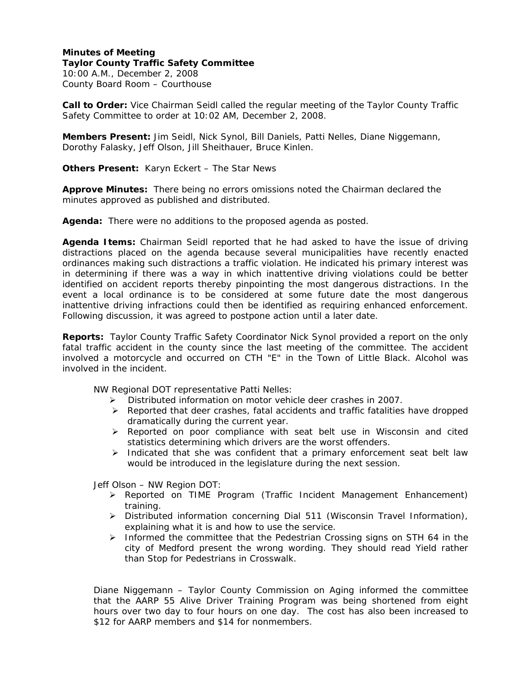**Minutes of Meeting Taylor County Traffic Safety Committee**  10:00 A.M., December 2, 2008 County Board Room – Courthouse

**Call to Order:** Vice Chairman Seidl called the regular meeting of the Taylor County Traffic Safety Committee to order at 10:02 AM, December 2, 2008.

**Members Present:** Jim Seidl, Nick Synol, Bill Daniels, Patti Nelles, Diane Niggemann, Dorothy Falasky, Jeff Olson, Jill Sheithauer, Bruce Kinlen.

**Others Present:** Karyn Eckert – The Star News

**Approve Minutes:** There being no errors omissions noted the Chairman declared the minutes approved as published and distributed.

**Agenda:** There were no additions to the proposed agenda as posted.

**Agenda Items:** Chairman Seidl reported that he had asked to have the issue of driving distractions placed on the agenda because several municipalities have recently enacted ordinances making such distractions a traffic violation. He indicated his primary interest was in determining if there was a way in which inattentive driving violations could be better identified on accident reports thereby pinpointing the most dangerous distractions. In the event a local ordinance is to be considered at some future date the most dangerous inattentive driving infractions could then be identified as requiring enhanced enforcement. Following discussion, it was agreed to postpone action until a later date.

**Reports:** Taylor County Traffic Safety Coordinator Nick Synol provided a report on the only fatal traffic accident in the county since the last meeting of the committee. The accident involved a motorcycle and occurred on CTH "E" in the Town of Little Black. Alcohol was involved in the incident.

NW Regional DOT representative Patti Nelles:

- ¾ Distributed information on motor vehicle deer crashes in 2007.
- $\triangleright$  Reported that deer crashes, fatal accidents and traffic fatalities have dropped dramatically during the current year.
- $\triangleright$  Reported on poor compliance with seat belt use in Wisconsin and cited statistics determining which drivers are the worst offenders.
- $\triangleright$  Indicated that she was confident that a primary enforcement seat belt law would be introduced in the legislature during the next session.

Jeff Olson – NW Region DOT:

- ¾ Reported on TIME Program (Traffic Incident Management Enhancement) training.
- ¾ Distributed information concerning Dial 511 (Wisconsin Travel Information), explaining what it is and how to use the service.
- $\triangleright$  Informed the committee that the Pedestrian Crossing signs on STH 64 in the city of Medford present the wrong wording. They should read Yield rather than Stop for Pedestrians in Crosswalk.

Diane Niggemann – Taylor County Commission on Aging informed the committee that the AARP 55 Alive Driver Training Program was being shortened from eight hours over two day to four hours on one day. The cost has also been increased to \$12 for AARP members and \$14 for nonmembers.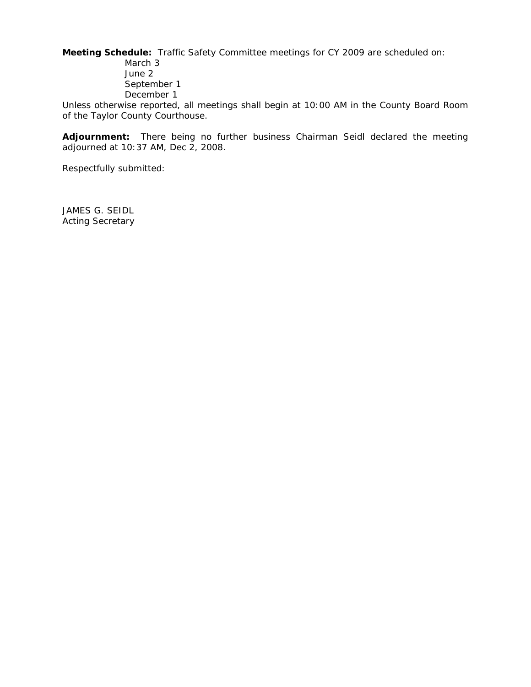**Meeting Schedule:** Traffic Safety Committee meetings for CY 2009 are scheduled on:

March 3 June 2 September 1 December 1

Unless otherwise reported, all meetings shall begin at 10:00 AM in the County Board Room of the Taylor County Courthouse.

**Adjournment:** There being no further business Chairman Seidl declared the meeting adjourned at 10:37 AM, Dec 2, 2008.

Respectfully submitted:

JAMES G. SEIDL Acting Secretary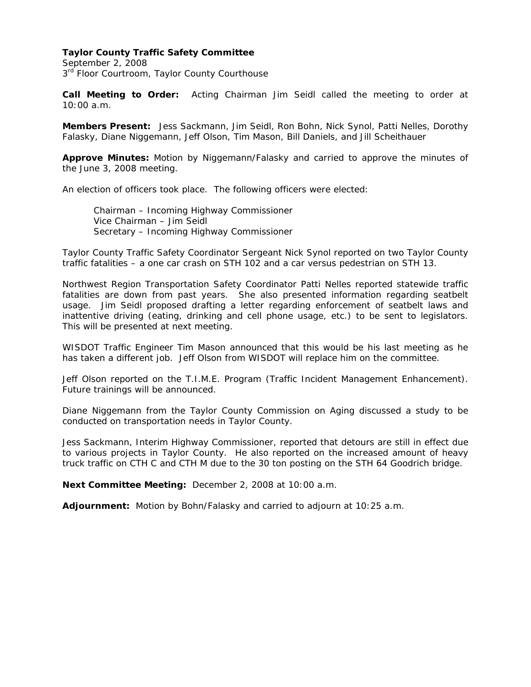## **Taylor County Traffic Safety Committee**

September 2, 2008 3<sup>rd</sup> Floor Courtroom, Taylor County Courthouse

**Call Meeting to Order:** Acting Chairman Jim Seidl called the meeting to order at 10:00 a.m.

**Members Present:** Jess Sackmann, Jim Seidl, Ron Bohn, Nick Synol, Patti Nelles, Dorothy Falasky, Diane Niggemann, Jeff Olson, Tim Mason, Bill Daniels, and Jill Scheithauer

**Approve Minutes:** Motion by Niggemann/Falasky and carried to approve the minutes of the June 3, 2008 meeting.

An election of officers took place. The following officers were elected:

 Chairman – Incoming Highway Commissioner Vice Chairman – Jim Seidl Secretary – Incoming Highway Commissioner

Taylor County Traffic Safety Coordinator Sergeant Nick Synol reported on two Taylor County traffic fatalities – a one car crash on STH 102 and a car versus pedestrian on STH 13.

Northwest Region Transportation Safety Coordinator Patti Nelles reported statewide traffic fatalities are down from past years. She also presented information regarding seatbelt usage. Jim Seidl proposed drafting a letter regarding enforcement of seatbelt laws and inattentive driving (eating, drinking and cell phone usage, etc.) to be sent to legislators. This will be presented at next meeting.

WISDOT Traffic Engineer Tim Mason announced that this would be his last meeting as he has taken a different job. Jeff Olson from WISDOT will replace him on the committee.

Jeff Olson reported on the T.I.M.E. Program (Traffic Incident Management Enhancement). Future trainings will be announced.

Diane Niggemann from the Taylor County Commission on Aging discussed a study to be conducted on transportation needs in Taylor County.

Jess Sackmann, Interim Highway Commissioner, reported that detours are still in effect due to various projects in Taylor County. He also reported on the increased amount of heavy truck traffic on CTH C and CTH M due to the 30 ton posting on the STH 64 Goodrich bridge.

**Next Committee Meeting:** December 2, 2008 at 10:00 a.m.

**Adjournment:** Motion by Bohn/Falasky and carried to adjourn at 10:25 a.m.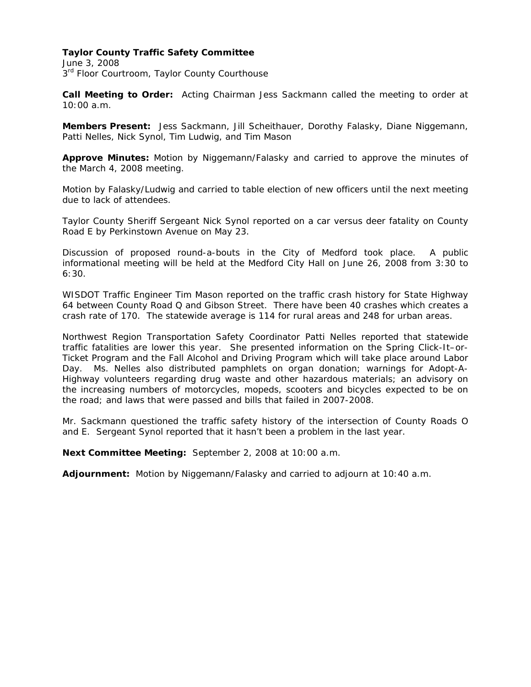## **Taylor County Traffic Safety Committee**

June 3, 2008  $3<sup>rd</sup>$  Floor Courtroom, Taylor County Courthouse

**Call Meeting to Order:** Acting Chairman Jess Sackmann called the meeting to order at 10:00 a.m.

**Members Present:** Jess Sackmann, Jill Scheithauer, Dorothy Falasky, Diane Niggemann, Patti Nelles, Nick Synol, Tim Ludwig, and Tim Mason

**Approve Minutes:** Motion by Niggemann/Falasky and carried to approve the minutes of the March 4, 2008 meeting.

Motion by Falasky/Ludwig and carried to table election of new officers until the next meeting due to lack of attendees.

Taylor County Sheriff Sergeant Nick Synol reported on a car versus deer fatality on County Road E by Perkinstown Avenue on May 23.

Discussion of proposed round-a-bouts in the City of Medford took place. A public informational meeting will be held at the Medford City Hall on June 26, 2008 from 3:30 to 6:30.

WISDOT Traffic Engineer Tim Mason reported on the traffic crash history for State Highway 64 between County Road Q and Gibson Street. There have been 40 crashes which creates a crash rate of 170. The statewide average is 114 for rural areas and 248 for urban areas.

Northwest Region Transportation Safety Coordinator Patti Nelles reported that statewide traffic fatalities are lower this year. She presented information on the Spring Click-It–or-Ticket Program and the Fall Alcohol and Driving Program which will take place around Labor Day. Ms. Nelles also distributed pamphlets on organ donation; warnings for Adopt-A-Highway volunteers regarding drug waste and other hazardous materials; an advisory on the increasing numbers of motorcycles, mopeds, scooters and bicycles expected to be on the road; and laws that were passed and bills that failed in 2007-2008.

Mr. Sackmann questioned the traffic safety history of the intersection of County Roads O and E. Sergeant Synol reported that it hasn't been a problem in the last year.

**Next Committee Meeting:** September 2, 2008 at 10:00 a.m.

**Adjournment:** Motion by Niggemann/Falasky and carried to adjourn at 10:40 a.m.